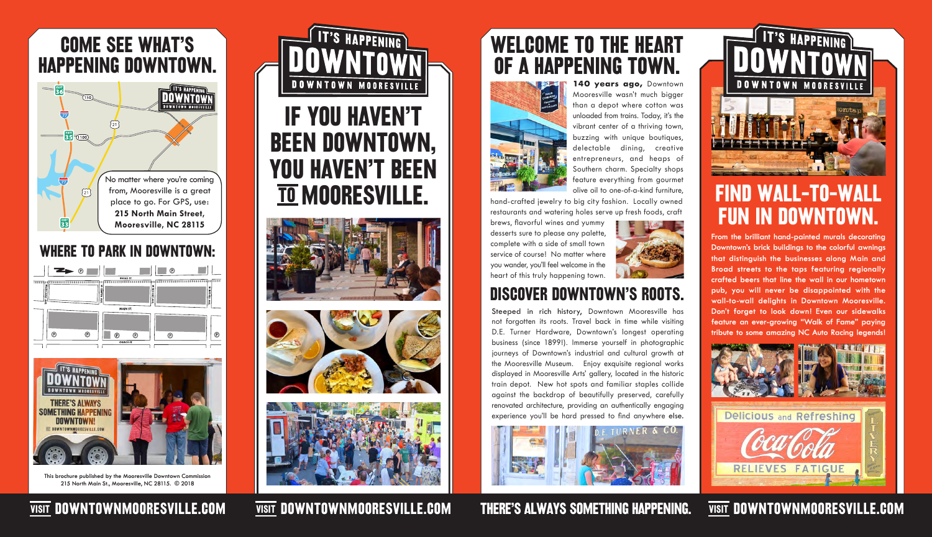## Discover Downtown's roots.

# WELCOME TO THE HEART OF A HAPPENING TOWN.



140 years ago, Downtown Mooresville wasn't much bigger than a depot where cotton was unloaded from trains. Today, it's the vibrant center of a thriving town, buzzing with unique boutiques, delectable dining, creative entrepreneurs, and heaps of Southern charm. Specialty shops feature everything from gourmet olive oil to one-of-a-kind furniture,

hand-crafted jewelry to big city fashion. Locally owned restaurants and watering holes serve up fresh foods, craft

brews, flavorful wines and yummy desserts sure to please any palette, complete with a side of small town service of course! No matter where you wander, you'll feel welcome in the heart of this truly happening town.



Steeped in rich history, Downtown Mooresville has not forgotten its roots. Travel back in time while visiting D.E. Turner Hardware, Downtown's longest operating business (since 1899!). Immerse yourself in photographic journeys of Downtown's industrial and cultural growth at the Mooresville Museum. Enjoy exquisite regional works displayed in Mooresville Arts' gallery, located in the historic train depot. New hot spots and familiar staples collide against the backdrop of beautifully preserved, carefully renovated architecture, providing an authentically engaging experience you'll be hard pressed to find anywhere else.



**IT'S HAPPENING DOWNTOWN MOORESVIL** 



# FIND WALL-TO-WALL FUN IN DOWNTOWN.

**From the brilliant hand-painted murals decorating Downtown's brick buildings to the colorful awnings that distinguish the businesses along Main and Broad streets to the taps featuring regionally crafted beers that line the wall in our hometown pub, you will never be disappointed with the wall-to-wall delights in Downtown Mooresville. Don't forget to look down! Even our sidewalks feature an ever-growing "Walk of Fame" paying tribute to some amazing NC Auto Racing legends!**



### VISIT DOWNTOWNMOORESVILLE.COM WISIT DOWNTOWNMOORESVILLE.COM THERE'S ALWAYS SOMETHING HAPPENING. VISIT DOWNTOWNMOORESVILLE.COM

**This brochure published by the Mooresville Downtown Commission 215 North Main St., Mooresville, NC 28115. © 2018**



#### COME SEE WHAT'S HAPPENING DOWNTOWN. DOWNTOWN MOORESVILLE



### WHERE TO PARK IN DOWNTOWN:



# IF YOU HAVEN'T BEEN DOWNTOWN, YOU HAVEN'T BEEN TO MOORESVILLE.